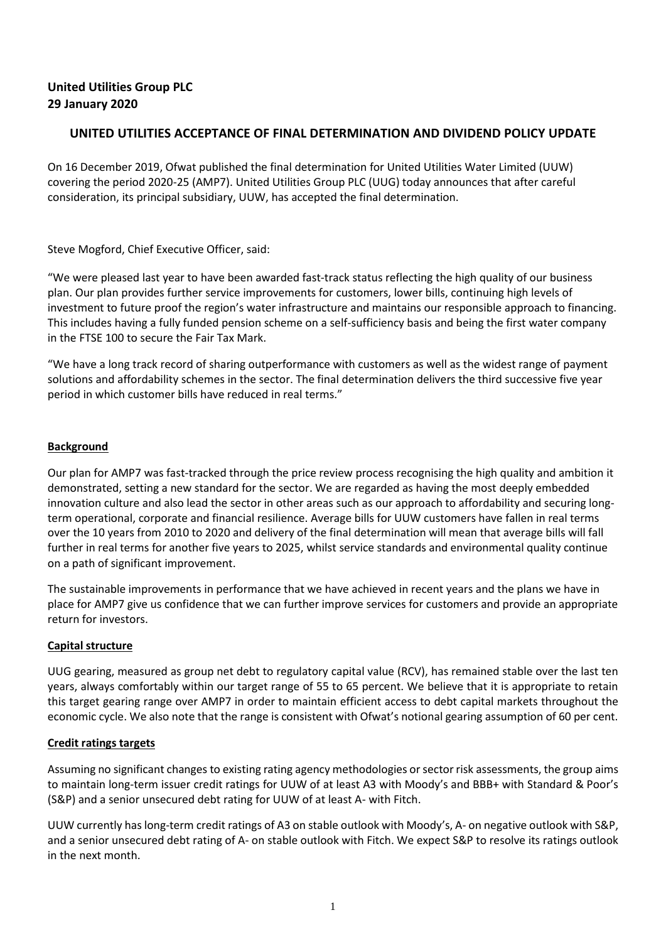# **United Utilities Group PLC 29 January 2020**

# **UNITED UTILITIES ACCEPTANCE OF FINAL DETERMINATION AND DIVIDEND POLICY UPDATE**

On 16 December 2019, Ofwat published the final determination for United Utilities Water Limited (UUW) covering the period 2020-25 (AMP7). United Utilities Group PLC (UUG) today announces that after careful consideration, its principal subsidiary, UUW, has accepted the final determination.

Steve Mogford, Chief Executive Officer, said:

"We were pleased last year to have been awarded fast-track status reflecting the high quality of our business plan. Our plan provides further service improvements for customers, lower bills, continuing high levels of investment to future proof the region's water infrastructure and maintains our responsible approach to financing. This includes having a fully funded pension scheme on a self-sufficiency basis and being the first water company in the FTSE 100 to secure the Fair Tax Mark.

"We have a long track record of sharing outperformance with customers as well as the widest range of payment solutions and affordability schemes in the sector. The final determination delivers the third successive five year period in which customer bills have reduced in real terms."

### **Background**

Our plan for AMP7 was fast-tracked through the price review process recognising the high quality and ambition it demonstrated, setting a new standard for the sector. We are regarded as having the most deeply embedded innovation culture and also lead the sector in other areas such as our approach to affordability and securing longterm operational, corporate and financial resilience. Average bills for UUW customers have fallen in real terms over the 10 years from 2010 to 2020 and delivery of the final determination will mean that average bills will fall further in real terms for another five years to 2025, whilst service standards and environmental quality continue on a path of significant improvement.

The sustainable improvements in performance that we have achieved in recent years and the plans we have in place for AMP7 give us confidence that we can further improve services for customers and provide an appropriate return for investors.

# **Capital structure**

UUG gearing, measured as group net debt to regulatory capital value (RCV), has remained stable over the last ten years, always comfortably within our target range of 55 to 65 percent. We believe that it is appropriate to retain this target gearing range over AMP7 in order to maintain efficient access to debt capital markets throughout the economic cycle. We also note that the range is consistent with Ofwat's notional gearing assumption of 60 per cent.

# **Credit ratings targets**

Assuming no significant changes to existing rating agency methodologies or sector risk assessments, the group aims to maintain long-term issuer credit ratings for UUW of at least A3 with Moody's and BBB+ with Standard & Poor's (S&P) and a senior unsecured debt rating for UUW of at least A- with Fitch.

UUW currently has long-term credit ratings of A3 on stable outlook with Moody's, A- on negative outlook with S&P, and a senior unsecured debt rating of A- on stable outlook with Fitch. We expect S&P to resolve its ratings outlook in the next month.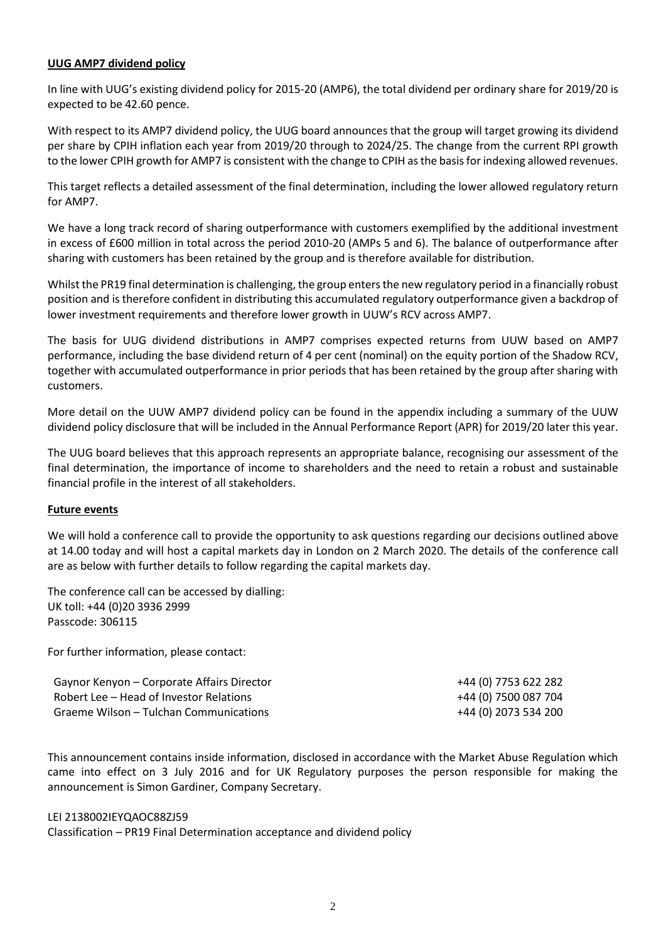### **UUG AMP7 dividend policy**

In line with UUG's existing dividend policy for 2015-20 (AMP6), the total dividend per ordinary share for 2019/20 is expected to be 42.60 pence.

With respect to its AMP7 dividend policy, the UUG board announces that the group will target growing its dividend per share by CPIH inflation each year from 2019/20 through to 2024/25. The change from the current RPI growth to the lower CPIH growth for AMP7 is consistent with the change to CPIH as the basis for indexing allowed revenues.

This target reflects a detailed assessment of the final determination, including the lower allowed regulatory return for AMP7.

We have a long track record of sharing outperformance with customers exemplified by the additional investment in excess of £600 million in total across the period 2010-20 (AMPs 5 and 6). The balance of outperformance after sharing with customers has been retained by the group and is therefore available for distribution.

Whilst the PR19 final determination is challenging, the group enters the new regulatory period in a financially robust position and is therefore confident in distributing this accumulated regulatory outperformance given a backdrop of lower investment requirements and therefore lower growth in UUW's RCV across AMP7.

The basis for UUG dividend distributions in AMP7 comprises expected returns from UUW based on AMP7 performance, including the base dividend return of 4 per cent (nominal) on the equity portion of the Shadow RCV, together with accumulated outperformance in prior periods that has been retained by the group after sharing with customers.

More detail on the UUW AMP7 dividend policy can be found in the appendix including a summary of the UUW dividend policy disclosure that will be included in the Annual Performance Report (APR) for 2019/20 later this year.

The UUG board believes that this approach represents an appropriate balance, recognising our assessment of the final determination, the importance of income to shareholders and the need to retain a robust and sustainable financial profile in the interest of all stakeholders.

### **Future events**

We will hold a conference call to provide the opportunity to ask questions regarding our decisions outlined above at 14.00 today and will host a capital markets day in London on 2 March 2020. The details of the conference call are as below with further details to follow regarding the capital markets day.

The conference call can be accessed by dialling: UK toll: +44 (0)20 3936 2999 Passcode: 306115

For further information, please contact:

| Gaynor Kenyon – Corporate Affairs Director | +44 (0) 7753 622 282 |
|--------------------------------------------|----------------------|
| Robert Lee – Head of Investor Relations    | +44 (0) 7500 087 704 |
| Graeme Wilson – Tulchan Communications     | +44 (0) 2073 534 200 |

This announcement contains inside information, disclosed in accordance with the Market Abuse Regulation which came into effect on 3 July 2016 and for UK Regulatory purposes the person responsible for making the announcement is Simon Gardiner, Company Secretary.

#### LEI 2138002IEYQAOC88ZJ59

Classification – PR19 Final Determination acceptance and dividend policy